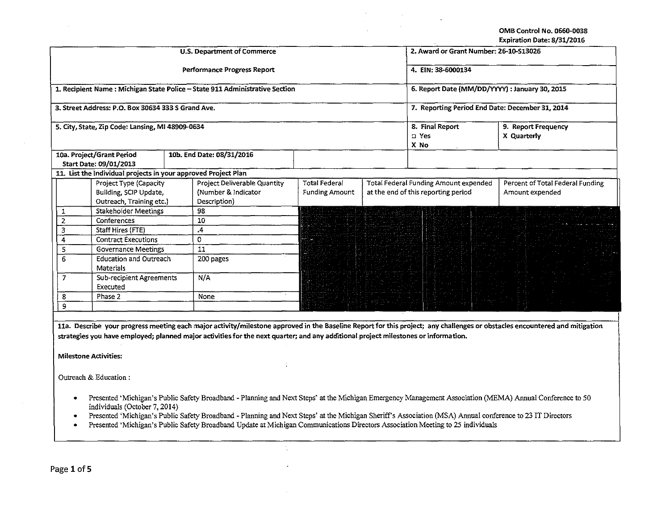OMB Control No. 0660·0038 Expiration Date: 8/31/2016

| U.S. Department of Commerce                      |                                                                |  |                                                                                                                                    |                                                 |                                              | 2. Award or Grant Number: 26-10-S13026 |                                                                                                                                                                            |  |
|--------------------------------------------------|----------------------------------------------------------------|--|------------------------------------------------------------------------------------------------------------------------------------|-------------------------------------------------|----------------------------------------------|----------------------------------------|----------------------------------------------------------------------------------------------------------------------------------------------------------------------------|--|
| Performance Progress Report                      |                                                                |  |                                                                                                                                    |                                                 |                                              | 4. EIN: 38-6000134                     |                                                                                                                                                                            |  |
|                                                  |                                                                |  | 1. Recipient Name: Michigan State Police - State 911 Administrative Section                                                        | 6. Report Date (MM/DD/YYYY) : January 30, 2015  |                                              |                                        |                                                                                                                                                                            |  |
|                                                  | 3. Street Address: P.O. Box 30634 333 S Grand Ave.             |  |                                                                                                                                    | 7. Reporting Period End Date: December 31, 2014 |                                              |                                        |                                                                                                                                                                            |  |
| 5. City, State, Zip Code: Lansing, MI 48909-0634 |                                                                |  |                                                                                                                                    |                                                 |                                              | 8. Final Report<br>□ Yes<br>X No       | 9. Report Frequency<br>X Quarterly                                                                                                                                         |  |
|                                                  | 10a. Project/Grant Period                                      |  | 10b. End Date: 08/31/2016                                                                                                          |                                                 |                                              |                                        |                                                                                                                                                                            |  |
|                                                  | Start Date: 09/01/2013                                         |  |                                                                                                                                    |                                                 |                                              |                                        |                                                                                                                                                                            |  |
|                                                  | 11. List the individual projects in your approved Project Plan |  |                                                                                                                                    |                                                 |                                              |                                        |                                                                                                                                                                            |  |
|                                                  | Project Type (Capacity                                         |  | Project Deliverable Quantity                                                                                                       | <b>Total Federal</b>                            | <b>Total Federal Funding Amount expended</b> |                                        | Percent of Total Federal Funding                                                                                                                                           |  |
|                                                  | Building, SCIP Update,                                         |  | (Number & Indicator                                                                                                                | <b>Funding Amount</b>                           | at the end of this reporting period          |                                        | Amount expended                                                                                                                                                            |  |
|                                                  | Outreach, Training etc.)                                       |  | Description)                                                                                                                       |                                                 |                                              |                                        |                                                                                                                                                                            |  |
| 1                                                | <b>Stakeholder Meetings</b>                                    |  | 98                                                                                                                                 |                                                 |                                              |                                        |                                                                                                                                                                            |  |
| $\overline{2}$                                   | Conferences                                                    |  | 10                                                                                                                                 |                                                 |                                              |                                        |                                                                                                                                                                            |  |
| $\overline{\mathbf{3}}$                          | Staff Hires (FTE)                                              |  | 4.                                                                                                                                 |                                                 |                                              |                                        |                                                                                                                                                                            |  |
| 4                                                | <b>Contract Executions</b>                                     |  | 0                                                                                                                                  |                                                 |                                              |                                        |                                                                                                                                                                            |  |
| 5                                                | <b>Governance Meetings</b>                                     |  | 11                                                                                                                                 |                                                 |                                              |                                        |                                                                                                                                                                            |  |
| 6                                                | <b>Education and Outreach</b><br><b>Materials</b>              |  | 200 pages                                                                                                                          |                                                 |                                              |                                        |                                                                                                                                                                            |  |
| $\overline{7}$                                   | <b>Sub-recipient Agreements</b><br>Executed                    |  | N/A                                                                                                                                |                                                 |                                              |                                        |                                                                                                                                                                            |  |
| 8                                                | Phase 2                                                        |  | None                                                                                                                               |                                                 |                                              |                                        |                                                                                                                                                                            |  |
| 9                                                |                                                                |  |                                                                                                                                    |                                                 |                                              |                                        |                                                                                                                                                                            |  |
|                                                  |                                                                |  |                                                                                                                                    |                                                 |                                              |                                        |                                                                                                                                                                            |  |
|                                                  |                                                                |  |                                                                                                                                    |                                                 |                                              |                                        | 11a. Describe your progress meeting each major activity/milestone approved in the Baseline Report for this project; any challenges or obstacles encountered and mitigation |  |
|                                                  |                                                                |  | strategies you have employed; planned major activities for the next quarter; and any additional project milestones or information. |                                                 |                                              |                                        |                                                                                                                                                                            |  |
|                                                  |                                                                |  |                                                                                                                                    |                                                 |                                              |                                        |                                                                                                                                                                            |  |
|                                                  | <b>Milestone Activities:</b>                                   |  |                                                                                                                                    |                                                 |                                              |                                        |                                                                                                                                                                            |  |

Outreach & Education :

- Presented 'Michigan's Public Safety Broadband- Planning and Next Steps' at the Michigan Emergency Management Association (MEMA) Annual Conference to 50 individuals (October 7, 2014)
- Presented 'Michigan's Public Safety Broadband -Planning and Next Steps' at the Michigan Sheriff's Association (MSA) Annual conference to 23 IT Directors
- Presented 'Michigan's Public Safety Broadband Update at Michigan Communications Directors Association Meeting to 25 individuals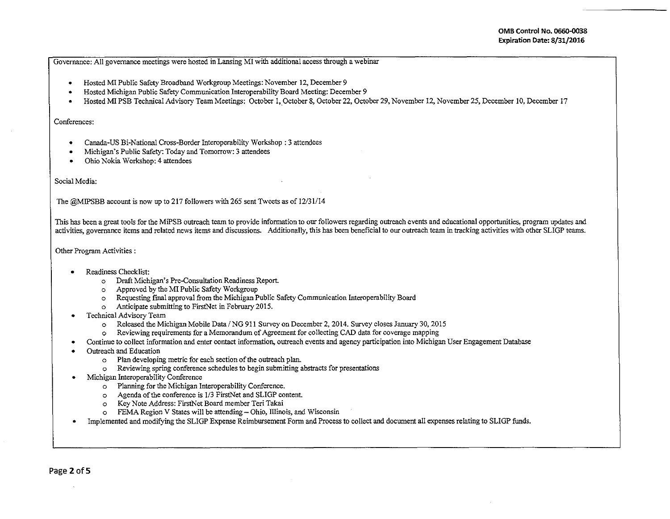Governance: All governance meetings were hosted in Lansing MI with additional access through a webinar

- Hosted MI Public Safety Broadband Workgroup Meetings: November 12, December 9
- Hosted Michigan Public Safety Communication Interoperability Board Meeting: December 9
- Hosted MI PSB Technical Advisory Team Meetings: October 1, October 8, October 22, October 29, November 12, November 25, December 10, December 17

## Conferences:

- Canada-US Bi-National Cross-Border Interoperability Workshop: 3 attendees
- Michigan's Public Safety: Today and Tomorrow: 3 attendees
- Ohio Nokia Workshop: 4 attendees

## Social Media:

The @MIPSBB account is now up to 217 followers with 265 sent Tweets as of 12/31/14

This has been a great tools for the MiPSB outreach team to provide information to our followers regarding outreach events and educational opportunities, program updates and activities, governance items and related news items and discussions. Additionally, this has been beneficial to our outreach team in tracking activities with other SLIGP teams.

## Other Program Activities :

- Readiness Checklist:
	- o Draft Michigan's Pre-Consultation Readiness Report.
	- o Approved by the MI Public Safety Workgroup
	- o Requesting final approval from the Michigan Public Safety Communication Interoperability Board
	- o Anticipate submitting to FirstNet in February 2015.
- Technical Advisory Team
	- o Released the Michigan Mobile Data /NG 911 Survey on December 2, 2014. Survey closes January 30, 2015
	- o Reviewing requirements for a Memorandum of Agreement for collecting CAD data for coverage mapping
- Continue to collect information and enter contact information, outreach events and agency participation into Michigan User Engagement Database
- Outreach and Education
	- o Plan developing metric for each section of the outreach plan.
	- o Reviewing spring conference schedules to begin submitting abstracts for presentations
- Michigan Interoperability Conference
	- o Planning for the Michigan Interoperability Conference.
	- o Agenda of the conference is 1/3 FirstNet and SLIGP content.
	- o Key Note Address: FirstNet Board member Teri Takai
	- o FEMA Region V States will be attending- Ohio, Illinois, and Wisconsin
- Implemented and modifying the SLIGP Expense Reimbursement Form and Process to collect and document all expenses relating to SLIGP funds.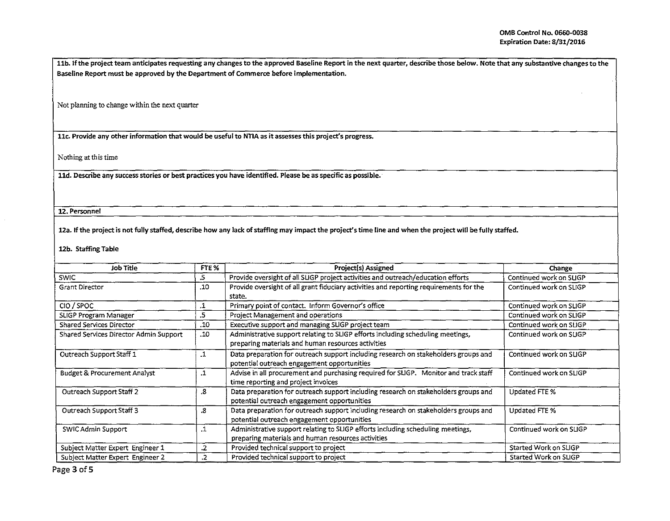llb. If the project team anticipates requesting any changes to the approved Baseline Report in the next quarter, describe those below. Note that any substantive changes to the Baseline Report must be approved by the Department of Commerce before implementation.

<sup>I</sup>Not planning to change within the next quarter

llc. Provide any other information that would be useful to NTIA as it assesses this project's progress.

Nothing at this time

lld. Describe any success stories or best practices you have identified. Please be as specific as possible.

12. Personnel

12a. If the project is not fully staffed, describe how any lack of staffing may impact the project's time line and when the project will be fully staffed.

12b. Staffing Table

| Job Title                                     |           | Project(s) Assigned                                                                                                                   | Change                  |  |
|-----------------------------------------------|-----------|---------------------------------------------------------------------------------------------------------------------------------------|-------------------------|--|
| .5<br><b>SWIC</b>                             |           | Provide oversight of all SLIGP project activities and outreach/education efforts                                                      | Continued work on SLIGP |  |
| <b>Grant Director</b>                         | .10       | Provide oversight of all grant fiduciary activities and reporting requirements for the<br>state.                                      | Continued work on SLIGP |  |
| CIO / SPOC                                    | .1        | Primary point of contact. Inform Governor's office                                                                                    | Continued work on SLIGP |  |
| .5<br>SLIGP Program Manager                   |           | Project Management and operations                                                                                                     | Continued work on SLIGP |  |
| <b>Shared Services Director</b>               | .10       | Executive support and managing SLIGP project team                                                                                     | Continued work on SLIGP |  |
| Shared Services Director Admin Support<br>.10 |           | Administrative support relating to SLIGP efforts including scheduling meetings,<br>preparing materials and human resources activities | Continued work on SLIGP |  |
| Outreach Support Staff 1                      |           | Data preparation for outreach support including research on stakeholders groups and<br>potential outreach engagement opportunities    | Continued work on SLIGP |  |
| <b>Budget &amp; Procurement Analyst</b>       | $\cdot$ 1 | Advise in all procurement and purchasing required for SLIGP. Monitor and track staff<br>time reporting and project invoices           | Continued work on SLIGP |  |
| Outreach Support Staff 2                      | 8.        | Data preparation for outreach support including research on stakeholders groups and<br>potential outreach engagement opportunities    | Updated FTE %           |  |
| Outreach Support Staff 3<br>.8                |           | Data preparation for outreach support including research on stakeholders groups and<br>potential outreach engagement opportunities    | Updated FTE %           |  |
| $\cdot$ 1<br>SWIC Admin Support               |           | Administrative support relating to SLIGP efforts including scheduling meetings,<br>preparing materials and human resources activities | Continued work on SLIGP |  |
| Subject Matter Expert Engineer 1<br>.2        |           | Provided technical support to project                                                                                                 | Started Work on SLIGP   |  |
| Subject Matter Expert Engineer 2              | .2        | Provided technical support to project                                                                                                 | Started Work on SLIGP   |  |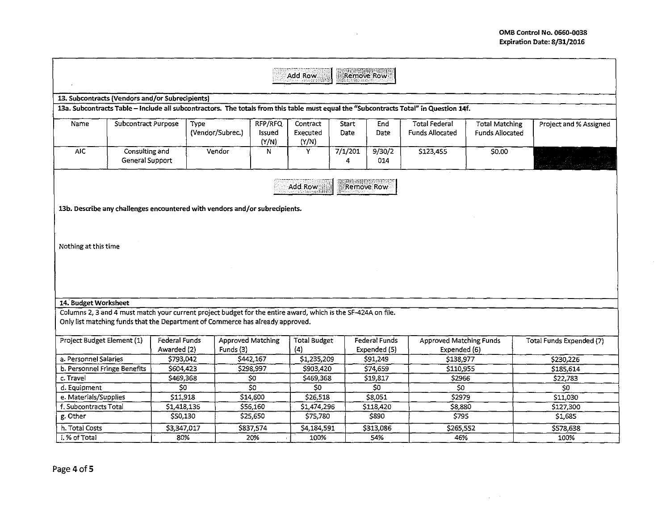$\Delta \sim 200$ 

| Remove Row<br>Add Row                                                                                                                                                                           |                                   |                                     |                                                                             |                            |                               |               |                                      |                                                                                                                                       |                                                 |                                 |
|-------------------------------------------------------------------------------------------------------------------------------------------------------------------------------------------------|-----------------------------------|-------------------------------------|-----------------------------------------------------------------------------|----------------------------|-------------------------------|---------------|--------------------------------------|---------------------------------------------------------------------------------------------------------------------------------------|-------------------------------------------------|---------------------------------|
|                                                                                                                                                                                                 |                                   |                                     |                                                                             |                            |                               |               |                                      |                                                                                                                                       |                                                 |                                 |
| 13. Subcontracts (Vendors and/or Subrecipients)                                                                                                                                                 |                                   |                                     |                                                                             |                            |                               |               |                                      |                                                                                                                                       |                                                 |                                 |
|                                                                                                                                                                                                 |                                   |                                     |                                                                             |                            |                               |               |                                      | 13a. Subcontracts Table - Include all subcontractors. The totals from this table must equal the "Subcontracts Total" in Question 14f. |                                                 |                                 |
| Name                                                                                                                                                                                            | Subcontract Purpose               |                                     | Type<br>(Vendor/Subrec.)                                                    | RFP/RFQ<br>Issued<br>(Y/N) | Contract<br>Executed<br>(Y/N) | Start<br>Date | End<br>Date                          | <b>Total Federal</b><br><b>Funds Allocated</b>                                                                                        | <b>Total Matching</b><br><b>Funds Allocated</b> | Project and % Assigned          |
| $\overline{AIC}$                                                                                                                                                                                | Consulting and<br>General Support |                                     | Vendor                                                                      | N                          | Y                             | 7/1/201<br>4  | 9/30/2<br>014                        | \$123,455                                                                                                                             | 50.00                                           |                                 |
|                                                                                                                                                                                                 |                                   |                                     |                                                                             |                            | Add Row                       |               | Remove Row                           |                                                                                                                                       |                                                 |                                 |
|                                                                                                                                                                                                 |                                   |                                     | 13b. Describe any challenges encountered with vendors and/or subrecipients. |                            |                               |               |                                      |                                                                                                                                       |                                                 |                                 |
|                                                                                                                                                                                                 |                                   |                                     |                                                                             |                            |                               |               |                                      |                                                                                                                                       |                                                 |                                 |
| Nothing at this time                                                                                                                                                                            |                                   |                                     |                                                                             |                            |                               |               |                                      |                                                                                                                                       |                                                 |                                 |
|                                                                                                                                                                                                 |                                   |                                     |                                                                             |                            |                               |               |                                      |                                                                                                                                       |                                                 |                                 |
|                                                                                                                                                                                                 |                                   |                                     |                                                                             |                            |                               |               |                                      |                                                                                                                                       |                                                 |                                 |
|                                                                                                                                                                                                 |                                   |                                     |                                                                             |                            |                               |               |                                      |                                                                                                                                       |                                                 |                                 |
| 14. Budget Worksheet                                                                                                                                                                            |                                   |                                     |                                                                             |                            |                               |               |                                      |                                                                                                                                       |                                                 |                                 |
| Columns 2, 3 and 4 must match your current project budget for the entire award, which is the SF-424A on file.<br>Only list matching funds that the Department of Commerce has already approved. |                                   |                                     |                                                                             |                            |                               |               |                                      |                                                                                                                                       |                                                 |                                 |
| Project Budget Element (1)                                                                                                                                                                      |                                   | <b>Federal Funds</b><br>Awarded (2) | Approved Matching<br>Funds (3)                                              |                            | <b>Total Budget</b><br>(4)    |               | <b>Federal Funds</b><br>Expended (5) | <b>Approved Matching Funds</b><br>Expended (6)                                                                                        |                                                 | <b>Total Funds Expended (7)</b> |
| a. Personnel Salaries                                                                                                                                                                           |                                   | \$793,042                           |                                                                             | \$442,167                  | \$1,235,209                   |               | \$91,249                             | \$138,977                                                                                                                             |                                                 | \$230,226                       |
| b. Personnel Fringe Benefits                                                                                                                                                                    |                                   | \$604,423                           |                                                                             | \$298,997                  | \$903,420                     |               | \$74,659                             | \$110,955                                                                                                                             |                                                 | \$185,614                       |
| c. Travel                                                                                                                                                                                       |                                   | \$469,368                           |                                                                             | \$0                        | \$469,368                     |               | \$19,817                             | \$2966                                                                                                                                |                                                 | \$22,783                        |
| d. Equipment                                                                                                                                                                                    |                                   | \$0                                 |                                                                             | $\overline{50}$            | \$0                           |               | S <sub>0</sub>                       | \$0                                                                                                                                   |                                                 | S <sub>0</sub>                  |
| e. Materials/Supplies                                                                                                                                                                           |                                   | \$11.918                            |                                                                             | \$14,600                   | \$26,518                      |               | \$8,051                              | \$2979                                                                                                                                |                                                 | \$11,030                        |
| f. Subcontracts Total                                                                                                                                                                           |                                   | \$1,418,136                         |                                                                             | \$56,160                   | \$1,474,296                   |               | \$118,420                            | \$8,880                                                                                                                               |                                                 | \$127,300                       |
| g. Other                                                                                                                                                                                        |                                   | \$50,130                            |                                                                             | \$25,650                   | \$75,780                      |               | \$890                                | \$795                                                                                                                                 |                                                 | \$1,685                         |
| h. Total Costs                                                                                                                                                                                  |                                   | \$3,347,017                         |                                                                             | \$837,574                  | \$4,184,591                   |               | \$313,086                            | \$265,552                                                                                                                             |                                                 | \$578,638                       |
| 80%<br>i. % of Total<br>20%<br>100%<br>54%<br>46%<br>100%                                                                                                                                       |                                   |                                     |                                                                             |                            |                               |               |                                      |                                                                                                                                       |                                                 |                                 |
|                                                                                                                                                                                                 |                                   |                                     |                                                                             |                            |                               |               |                                      |                                                                                                                                       |                                                 |                                 |

 $\sim 10^7$